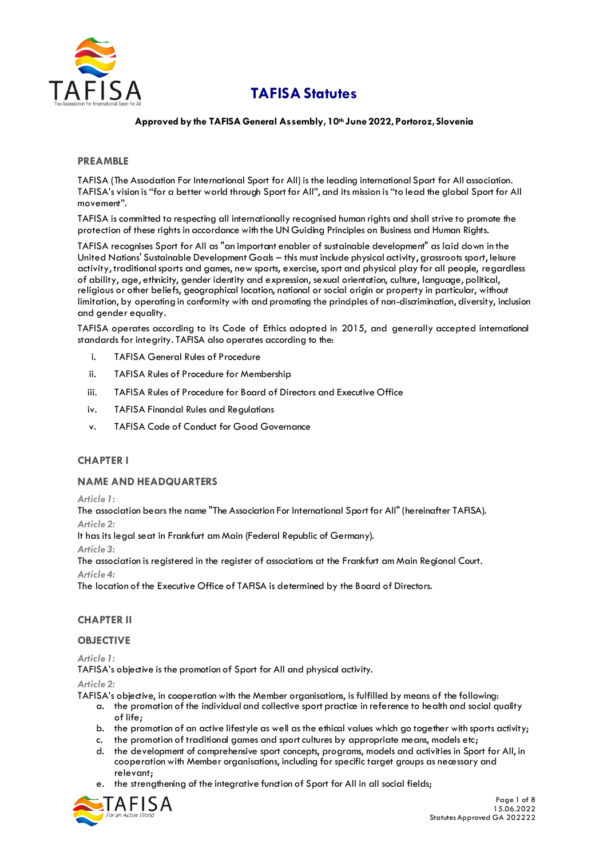

# **TAFISA Statutes**

# **Approved by the TAFISA General Assembly, 10th June 2022, Portoroz, Slovenia**

# **PREAMBLE**

TAFISA (The Association For International Sport for All) is the leading international Sport for All association. TAFISA's vision is "for a better world through Sport for All", and its mission is "to lead the global Sport for All movement".

TAFISA is committed to respecting all internationally recognised human rights and shall strive to promote the protection of these rights in accordance with the UN Guiding Principles on Business and Human Rights.

TAFISA recognises Sport for All as "an important enabler of sustainable development" as laid down in the United Nations' Sustainable Development Goals – this must include physical activity, grassroots sport, leisure activity, traditional sports and games, new sports, exercise, sport and physical play for all people, regardless of ability, age, ethnicity, gender identity and expression, sexual orientation, culture, language, political, religious or other beliefs, geographical location, national or social origin or property in particular, without limitation, by operating in conformity with and promoting the principles of non-discrimination, diversity, inclusion and gender equality.

TAFISA operates according to its Code of Ethics adopted in 2015, and generally accepted international standards for integrity. TAFISA also operates according to the:

- i. TAFISA General Rules of Procedure
- ii. TAFISA Rules of Procedure for Membership
- iii. TAFISA Rules of Procedure for Board of Directors and Executive Office
- iv. TAFISA Financial Rules and Regulations
- v. TAFISA Code of Conduct for Good Governance

# **CHAPTER I**

# **NAME AND HEADQUARTERS**

*Article 1:*

The association bears the name "The Association For International Sport for All" (hereinafter TAFISA).

*Article 2:*

It has its legal seat in Frankfurt am Main (Federal Republic of Germany).

*Article 3:*

The association is registered in the register of associations at the Frankfurt am Main Regional Court.

*Article 4:*

The location of the Executive Office of TAFISA is determined by the Board of Directors.

# **CHAPTER II**

# **OBJECTIVE**

*Article 1:*

TAFISA's objective is the promotion of Sport for All and physical activity.

# *Article 2:*

TAFISA's objective, in cooperation with the Member organisations, is fulfilled by means of the following:

- a. the promotion of the individual and collective sport practice in reference to health and social quality of life;
- b. the promotion of an active lifestyle as well as the ethical values which go together with sports activity;
- c. the promotion of traditional games and sport cultures by appropriate means, models etc;
- d. the development of comprehensive sport concepts, programs, models and activities in Sport for All, in cooperation with Member organisations, including for specific target groups as necessary and relevant;
- e. the strengthening of the integrative function of Sport for All in all social fields;

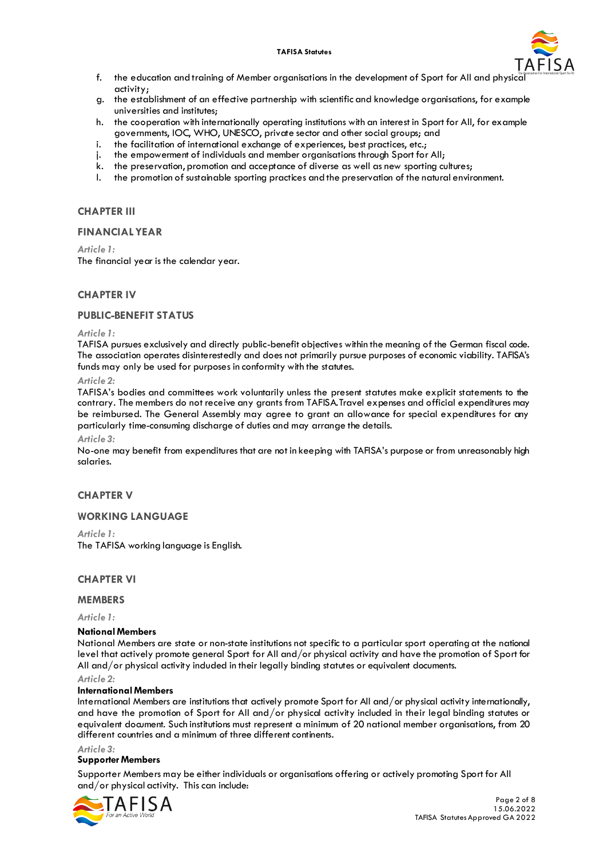#### **TAFISA Statutes**



- f. the education and training of Member organisations in the development of Sport for All and physic activity;
- g. the establishment of an effective partnership with scientific and knowledge organisations, for example universities and institutes;
- h. the cooperation with internationally operating institutions with an interest in Sport for All, for example governments, IOC, WHO, UNESCO, private sector and other social groups; and
- i. the facilitation of international exchange of experiences, best practices, etc.;
- j. the empowerment of individuals and member organisations through Sport for All;
- k. the preservation, promotion and acceptance of diverse as well as new sporting cultures;
- l. the promotion of sustainable sporting practices and the preservation of the natural environment.

# **CHAPTER III**

## **FINANCIAL YEAR**

*Article 1:*

The financial year is the calendar year.

# **CHAPTER IV**

### **PUBLIC-BENEFIT STATUS**

#### *Article 1:*

TAFISA pursues exclusively and directly public-benefit objectives within the meaning of the German fiscal code. The association operates disinterestedly and does not primarily pursue purposes of economic viability. TAFISA's funds may only be used for purposes in conformity with the statutes.

### *Article 2:*

TAFISA's bodies and committees work voluntarily unless the present statutes make explicit statements to the contrary. The members do not receive any grants from TAFISA.Travel expenses and official expenditures may be reimbursed. The General Assembly may agree to grant an allowance for special expenditures for any particularly time-consuming discharge of duties and may arrange the details.

#### *Article 3:*

No-one may benefit from expenditures that are not in keeping with TAFISA's purpose or from unreasonably high salaries.

# **CHAPTER V**

### **WORKING LANGUAGE**

### *Article 1:*

The TAFISA working language is English.

### **CHAPTER VI**

### **MEMBERS**

*Article 1:*

### **National Members**

National Members are state or non-state institutions not specific to a particular sport operating at the national level that actively promote general Sport for All and/or physical activity and have the promotion of Sport for All and/or physical activity induded in their legally binding statutes or equivalent documents.

#### *Article 2:*

### **International Members**

International Members are institutions that actively promote Sport for All and/or physical activity internationally, and have the promotion of Sport for All and/or physical activity included in their legal binding statutes or equivalent document. Such institutions must represent a minimum of 20 national member organisations, from 20 different countries and a minimum of three different continents.

*Article 3:*

### **Supporter Members**

Supporter Members may be either individuals or organisations offering or actively promoting Sport for All and/or physical activity. This can include:

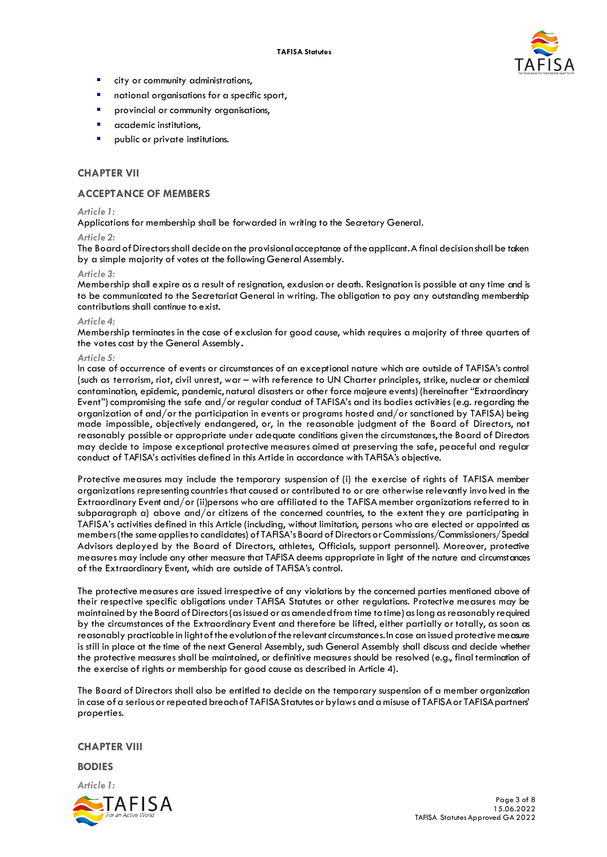

- city or community administrations,
- national organisations for a specific sport,
- provincial or community organisations,
- academic institutions,
- public or private institutions.

# **CHAPTER VII**

### **ACCEPTANCE OF MEMBERS**

### *Article 1:*

Applications for membership shall be forwarded in writing to the Secretary General.

#### *Article 2:*

The Board of Directors shall decide on the provisional acceptance of the applicant. A final decision shall be taken by a simple majority of votes at the following General Assembly.

#### *Article 3:*

Membership shall expire as a result of resignation, exclusion or death*.* Resignation is possible at any time and is to be communicated to the Secretariat General in writing. The obligation to pay any outstanding membership contributions shall continue to exist.

#### *Article 4:*

Membership terminates in the case of exclusion for good cause, which requires a majority of three quarters of the votes cast by the General Assembly**.**

#### *Article 5:*

In case of occurrence of events or circumstances of an exceptional nature which are outside of TAFISA's control (such as terrorism, riot, civil unrest, war – with reference to UN Charter principles, strike, nuclear or chemical contamination, epidemic, pandemic, natural disasters or other force majeure events) (hereinafter "Extraordinary Event") compromising the safe and/or regular conduct of TAFISA's and its bodies activities (e.g. regarding the organization of and/or the participation in events or programs hosted and/or sanctioned by TAFISA) being made impossible, objectively endangered, or, in the reasonable judgment of the Board of Directors, not reasonably possible or appropriate under adequate conditions given the circumstances, the Board of Directors may decide to impose exceptional protective measures aimed at preserving the safe, peaceful and regular conduct of TAFISA's activities defined in this Article in accordance with TAFISA's objective.

Protective measures may include the temporary suspension of (i) the exercise of rights of TAFISA member organizations representing countries that caused or contributed to or are otherwise relevantly invo lved in the Extraordinary Event and/or (ii)persons who are affiliated to the TAFISA member organizations referred to in subparagraph a) above and/or citizens of the concerned countries, to the extent they are participating in TAFISA's activities defined in this Article (including, without limitation, persons who are elected or appointed as members (the same applies to candidates) of TAFISA's Board of Directors or Commissions/Commissioners/Special Advisors deployed by the Board of Directors, athletes, Officials, support personnel). Moreover, protective measures may include any other measure that TAFISA deems appropriate in light of the nature and circumstances of the Extraordinary Event, which are outside of TAFISA's control.

The protective measures are issued irrespective of any violations by the concerned parties mentioned above of their respective specific obligations under TAFISA Statutes or other regulations. Protective measures may be maintained by the Board of Directors (as issued or as amended from time to time) as long as reasonably required by the circumstances of the Extraordinary Event and therefore be lifted, either partially or totally, as soon as reasonably practicable in light of the evolution of the relevant circumstances. In case an issued protective measure is still in place at the time of the next General Assembly, such General Assembly shall discuss and decide whether the protective measures shall be maintained, or definitive measures should be resolved (e.g., final termination of the exercise of rights or membership for good cause as described in Article 4).

The Board of Directors shall also be entitled to decide on the temporary suspension of a member organization in case of a serious orrepeated breach of TAFISA Statutes or bylaws and a misuse of TAFISA or TAFISA partners' properties.

### **CHAPTER VIII**

**BODIES**

*Article 1:*

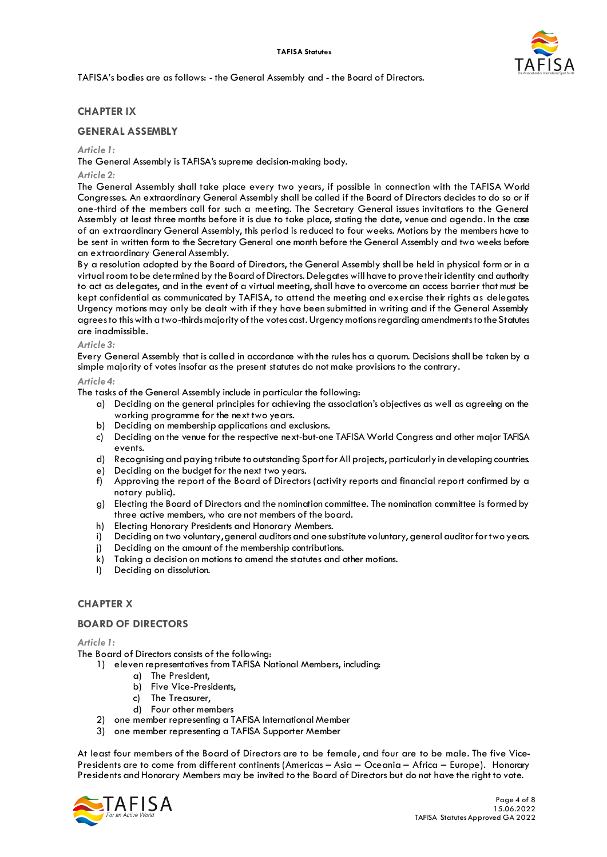

TAFISA's bodies are as follows: - the General Assembly and - the Board of Directors.

# **CHAPTER IX**

# **GENERAL ASSEMBLY**

### *Article 1:*

The General Assembly is TAFISA's supreme decision-making body.

### *Article 2:*

The General Assembly shall take place every two years, if possible in connection with the TAFISA World Congresses. An extraordinary General Assembly shall be called if the Board of Directors decides to do so or if one-third of the members call for such a meeting. The Secretary General issues invitations to the General Assembly at least three months before it is due to take place, stating the date, venue and agenda*.* In the case of an extraordinary General Assembly, this period is reduced to four weeks. Motions by the members have to be sent in written form to the Secretary General one month before the General Assembly and two weeks before an extraordinary General Assembly.

By a resolution adopted by the Board of Directors, the General Assembly shall be held in physical form or in a virtual room to be determined by the Board of Directors. Delegates will have to prove their identity and authority to act as delegates, and in the event of a virtual meeting, shall have to overcome an access barrier that must be kept confidential as communicated by TAFISA, to attend the meeting and exercise their rights as delegates. Urgency motions may only be dealt with if they have been submitted in writing and if the General Assembly agrees to this with a two-thirds majority of the votes cast. Urgency motions regarding amendments to the Statutes are inadmissible.

### *Article 3:*

Every General Assembly that is called in accordance with the rules has a quorum. Decisions shall be taken by a simple majority of votes insofar as the present statutes do not make provisions to the contrary.

### *Article 4:*

The tasks of the General Assembly include in particular the following:

- a) Deciding on the general principles for achieving the association's objectives as well as agreeing on the working programme for the next two years.
- b) Deciding on membership applications and exclusions.
- c) Deciding on the venue for the respective next-but-one TAFISA World Congress and other major TAFISA events.
- d) Recognising and paying tribute to outstanding Sport for All projects, particularly in developing countries.
- e) Deciding on the budget for the next two years.
- f) Approving the report of the Board of Directors (activity reports and financial report confirmed by a notary public).
- g) Electing the Board of Directors and the nomination committee. The nomination committee is formed by three active members, who are not members of the board.
- h) Electing Honorary Presidents and Honorary Members.
- i) Deciding on two voluntary, general auditors and one substitute voluntary, general auditor for two years.
- j) Deciding on the amount of the membership contributions.
- k) Taking a decision on motions to amend the statutes and other motions.
- l) Deciding on dissolution.

# **CHAPTER X**

### **BOARD OF DIRECTORS**

*Article 1:*

The Board of Directors consists of the following:

- 1) eleven representatives from TAFISA National Members, including:
	- a) The President,
	- b) Five Vice-Presidents,
	- c) The Treasurer,
	- d) Four other members
- 2) one member representing a TAFISA International Member
- 3) one member representing a TAFISA Supporter Member

At least four members of the Board of Directors are to be female, and four are to be male. The five Vice-Presidents are to come from different continents (Americas – Asia – Oceania – Africa – Europe). Honorary Presidents and Honorary Members may be invited to the Board of Directors but do not have the right to vote.

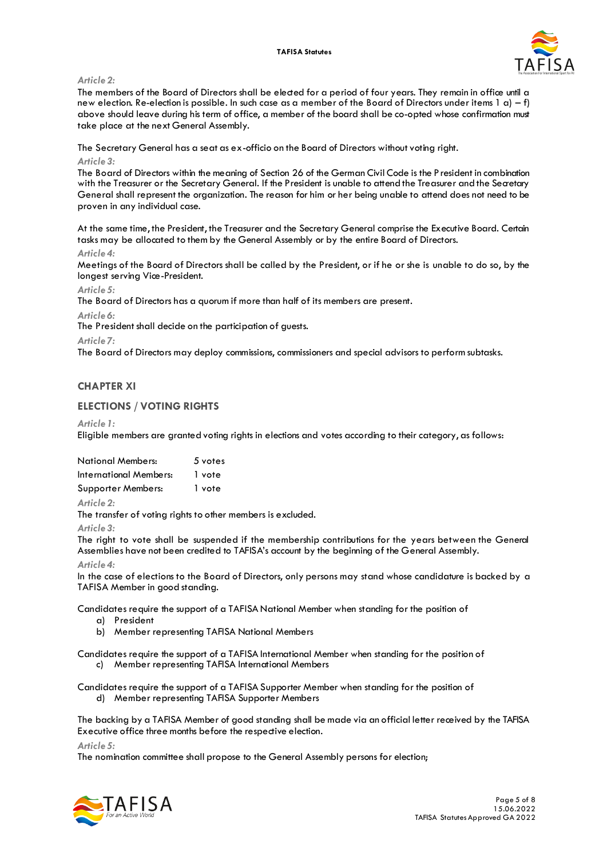#### **TAFISA Statutes**



### *Article 2:*

The members of the Board of Directors shall be elected for a period of four years. They remain in office until a new election. Re-election is possible. In such case as a member of the Board of Directors under items 1 a) – f) above should leave during his term of office, a member of the board shall be co-opted whose confirmation must take place at the next General Assembly.

The Secretary General has a seat as ex-officio on the Board of Directors without voting right.

### *Article 3:*

The Board of Directors within the meaning of Section 26 of the German Civil Code is the President in combination with the Treasurer or the Secretary General. If the President is unable to attend the Treasurer and the Secretary General shall represent the organization. The reason for him or her being unable to attend does not need to be proven in any individual case.

At the same time, the President, the Treasurer and the Secretary General comprise the Executive Board. Certain tasks may be allocated to them by the General Assembly or by the entire Board of Directors.

#### *Article 4:*

Meetings of the Board of Directors shall be called by the President, or if he or she is unable to do so, by the longest serving Vice-President.

#### *Article 5:*

The Board of Directors has a quorum if more than half of its members are present.

#### *Article 6:*

The President shall decide on the participation of guests.

#### *Article 7:*

The Board of Directors may deploy commissions, commissioners and special advisors to perform subtasks.

# **CHAPTER XI**

# **ELECTIONS / VOTING RIGHTS**

#### *Article 1:*

Eligible members are granted voting rights in elections and votes according to their category, as follows:

| <b>National Members:</b> | 5 votes |
|--------------------------|---------|
| International Members:   | 1 vote  |
| Supporter Members:       | 1 vote  |

### *Article 2:*

The transfer of voting rights to other members is excluded.

#### *Article 3:*

The right to vote shall be suspended if the membership contributions for the years between the General Assemblies have not been credited to TAFISA's account by the beginning of the General Assembly.

### *Article 4:*

In the case of elections to the Board of Directors, only persons may stand whose candidature is backed by a TAFISA Member in good standing.

Candidates require the support of a TAFISA National Member when standing for the position of

- a) President
- b) Member representing TAFISA National Members

Candidates require the support of a TAFISA International Member when standing for the position of

c) Member representing TAFISA International Members

Candidates require the support of a TAFISA Supporter Member when standing for the position of d) Member representing TAFISA Supporter Members

The backing by a TAFISA Member of good standing shall be made via an official letter received by the TAFISA Executive office three months before the respective election.

*Article 5:*

The nomination committee shall propose to the General Assembly persons for election;

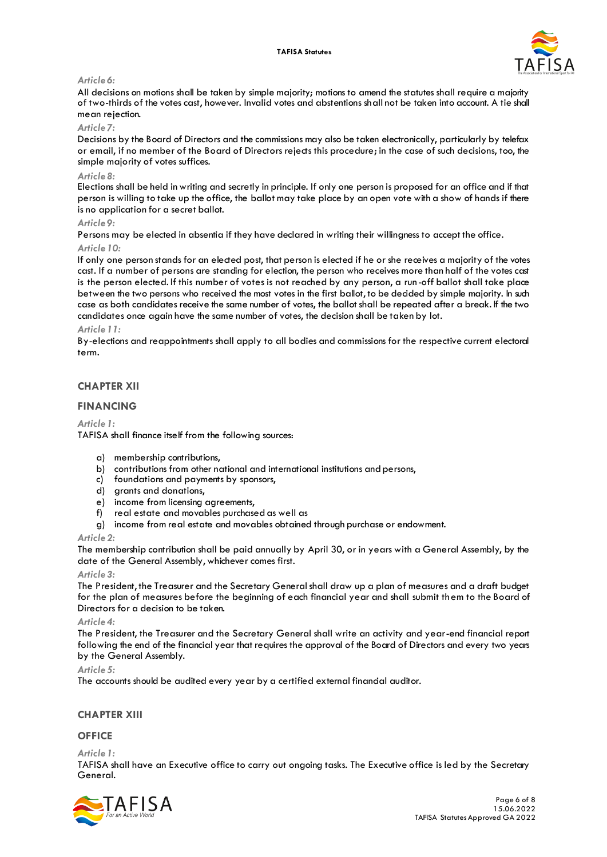

### *Article 6:*

All decisions on motions shall be taken by simple majority; motions to amend the statutes shall require a majority of two-thirds of the votes cast, however. Invalid votes and abstentions shall not be taken into account. A tie shall mean rejection.

### *Article 7:*

Decisions by the Board of Directors and the commissions may also be taken electronically, particularly by telefax or email, if no member of the Board of Directors rejects this procedure; in the case of such decisions, too, the simple majority of votes suffices.

### *Article 8:*

Elections shall be held in writing and secretly in principle. If only one person is proposed for an office and if that person is willing to take up the office, the ballot may take place by an open vote with a show of hands if there is no application for a secret ballot.

### *Article 9:*

Persons may be elected in absentia if they have declared in writing their willingness to accept the office.

## *Article 10:*

If only one person stands for an elected post, that person is elected if he or she receives a majority of the votes cast. If a number of persons are standing for election, the person who receives more than half of the votes cast is the person elected. If this number of votes is not reached by any person, a run-off ballot shall take place between the two persons who received the most votes in the first ballot, to be decided by simple majority. In such case as both candidates receive the same number of votes, the ballot shall be repeated after a break. If the two candidates once again have the same number of votes, the decision shall be taken by lot.

### *Article 11:*

By-elections and reappointments shall apply to all bodies and commissions for the respective current electoral term.

# **CHAPTER XII**

# **FINANCING**

### *Article 1:*

TAFISA shall finance itself from the following sources:

- a) membership contributions,
- b) contributions from other national and international institutions and persons,
- c) foundations and payments by sponsors,
- d) grants and donations,
- e) income from licensing agreements,
- f) real estate and movables purchased as well as
- g) income from real estate and movables obtained through purchase or endowment.

### *Article 2:*

The membership contribution shall be paid annually by April 30, or in years with a General Assembly, by the date of the General Assembly, whichever comes first.

### *Article 3:*

The President, the Treasurer and the Secretary General shall draw up a plan of measures and a draft budget for the plan of measures before the beginning of each financial year and shall submit them to the Board of Directors for a decision to be taken.

#### *Article 4:*

The President, the Treasurer and the Secretary General shall write an activity and year-end financial report following the end of the financial year that requires the approval of the Board of Directors and every two years by the General Assembly.

#### *Article 5:*

The accounts should be audited every year by a certified external financial auditor.

### **CHAPTER XIII**

# **OFFICE**

### *Article 1:*

TAFISA shall have an Executive office to carry out ongoing tasks. The Executive office is led by the Secretary General.

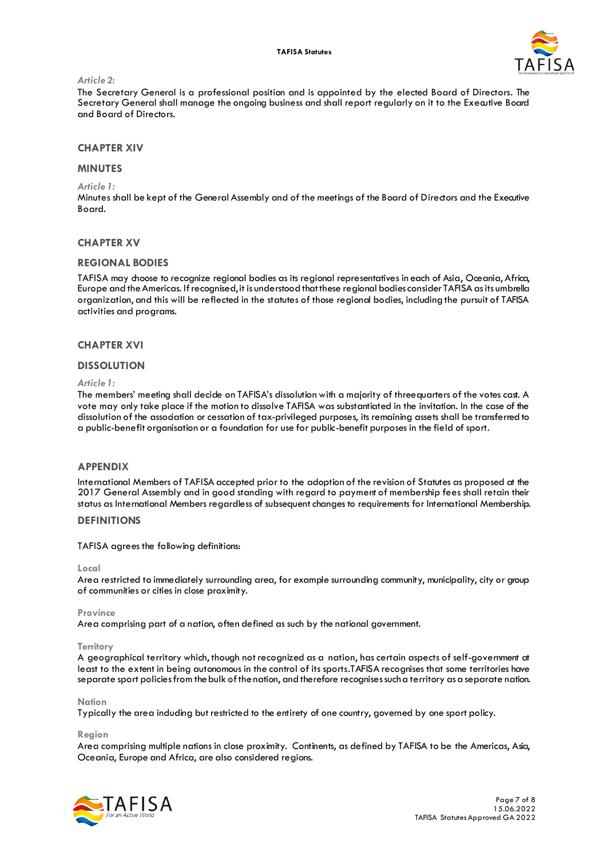

### *Article 2:*

The Secretary General is a professional position and is appointed by the elected Board of Directors. The Secretary General shall manage the ongoing business and shall report regularly on it to the Executive Board and Board of Directors.

## **CHAPTER XIV**

### **MINUTES**

*Article 1:*

Minutes shall be kept of the General Assembly and of the meetings of the Board of Directors and the Executive Board.

### **CHAPTER XV**

### **REGIONAL BODIES**

TAFISA may choose to recognize regional bodies as its regional representatives in each of Asia, Oceania, Africa, Europe and the Americas. If recognised, it is understood that these regional bodies consider TAFISA as its umbrella organization, and this will be reflected in the statutes of those regional bodies, including the pursuit of TAFISA activities and programs.

#### **CHAPTER XVI**

#### **DISSOLUTION**

#### *Article 1:*

The members' meeting shall decide on TAFISA's dissolution with a majority of threequarters of the votes cast. A vote may only take place if the motion to dissolve TAFISA was substantiated in the invitation. In the case of the dissolution of the association or cessation of tax-privileged purposes, its remaining assets shall be transferred to a public-benefit organisation or a foundation for use for public-benefit purposes in the field of sport.

# **APPENDIX**

International Members of TAFISA accepted prior to the adoption of the revision of Statutes as proposed at the 2017 General Assembly and in good standing with regard to payment of membership fees shall retain their status as International Members regardless of subsequent changes to requirements for International Membership.

# **DEFINITIONS**

TAFISA agrees the following definitions:

#### **Local**

Area restricted to immediately surrounding area, for example surrounding community, municipality, city or group of communities or cities in close proximity.

#### **Province**

Area comprising part of a nation, often defined as such by the national government.

#### **Territory**

A geographical territory which, though not recognized as a nation, has certain aspects of self-government at least to the extent in being autonomous in the control of its sports.TAFISA recognises that some territories have separate sport policiesfrom the bulk of the nation, and therefore recognises such a territory as a separate nation.

#### **Nation**

Typically the area induding but restricted to the entirety of one country, governed by one sport policy.

**Region**

Area comprising multiple nations in close proximity. Continents, as defined by TAFISA to be the Americas, Asia, Oceania, Europe and Africa, are also considered regions.